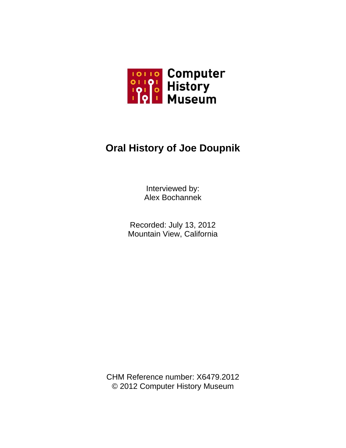

## **Oral History of Joe Doupnik**

Interviewed by: Alex Bochannek

Recorded: July 13, 2012 Mountain View, California

CHM Reference number: X6479.2012 © 2012 Computer History Museum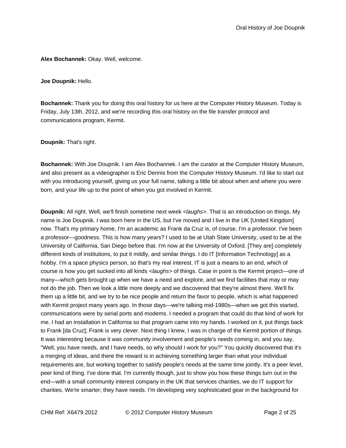**Alex Bochannek:** Okay. Well, welcome.

**Joe Doupnik:** Hello.

**Bochannek:** Thank you for doing this oral history for us here at the Computer History Museum. Today is Friday, July 13th, 2012, and we're recording this oral history on the file transfer protocol and communications program, Kermit.

**Doupnik:** That's right.

**Bochannek:** With Joe Doupnik. I am Alex Bochannek. I am the curator at the Computer History Museum, and also present as a videographer is Eric Dennis from the Computer History Museum. I'd like to start out with you introducing yourself, giving us your full name, talking a little bit about when and where you were born, and your life up to the point of when you got involved in Kermit.

**Doupnik:** All right. Well, we'll finish sometime next week *<laughs>.* That is an introduction on things. My name is Joe Doupnik. I was born here in the US, but I've moved and I live in the UK [United Kingdom] now. That's my primary home. I'm an academic as Frank da Cruz is, of course. I'm a professor. I've been a professor—goodness. This is how many years? I used to be at Utah State University, used to be at the University of California, San Diego before that. I'm now at the University of Oxford. [They are] completely different kinds of institutions, to put it mildly, and similar things. I do IT [Information Technology] as a hobby. I'm a space physics person, so that's my real interest. IT is just a means to an end, which of course is how you get sucked into all kinds *<laughs>* of things. Case in point is the Kermit project—one of many—which gets brought up when we have a need and explore, and we find facilities that may or may not do the job. Then we look a little more deeply and we discovered that they're almost there. We'll fix them up a little bit, and we try to be nice people and return the favor to people, which is what happened with Kermit project many years ago. In those days—we're talking mid-1980s—when we got this started, communications were by serial ports and modems. I needed a program that could do that kind of work for me. I had an installation in California so that program came into my hands. I worked on it, put things back to Frank [da Cruz]; Frank is very clever. Next thing I knew, I was in charge of the Kermit portion of things. It was interesting because it was community involvement and people's needs coming in, and you say, "Well, you have needs, and I have needs, so why should I work for you?" You quickly discovered that it's a merging of ideas, and there the reward is in achieving something larger than what your individual requirements are, but working together to satisfy people's needs at the same time jointly. It's a peer level, peer kind of thing. I've done that. I'm currently though, just to show you how these things turn out in the end—with a small community interest company in the UK that services charities, we do IT support for charities. We're smarter; they have needs. I'm developing very sophisticated gear in the background for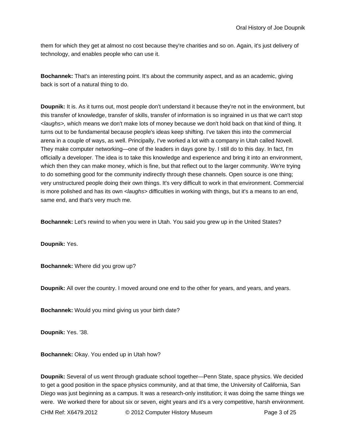them for which they get at almost no cost because they're charities and so on. Again, it's just delivery of technology, and enables people who can use it.

**Bochannek:** That's an interesting point. It's about the community aspect, and as an academic, giving back is sort of a natural thing to do.

**Doupnik:** It is. As it turns out, most people don't understand it because they're not in the environment, but this transfer of knowledge, transfer of skills, transfer of information is so ingrained in us that we can't stop *<laughs>,* which means we don't make lots of money because we don't hold back on that kind of thing. It turns out to be fundamental because people's ideas keep shifting. I've taken this into the commercial arena in a couple of ways, as well. Principally, I've worked a lot with a company in Utah called Novell. They make computer networking—one of the leaders in days gone by. I still do to this day. In fact, I'm officially a developer. The idea is to take this knowledge and experience and bring it into an environment, which then they can make money, which is fine, but that reflect out to the larger community. We're trying to do something good for the community indirectly through these channels. Open source is one thing; very unstructured people doing their own things. It's very difficult to work in that environment. Commercial is more polished and has its own *<laughs>* difficulties in working with things, but it's a means to an end, same end, and that's very much me.

**Bochannek:** Let's rewind to when you were in Utah. You said you grew up in the United States?

**Doupnik:** Yes.

**Bochannek:** Where did you grow up?

**Doupnik:** All over the country. I moved around one end to the other for years, and years, and years.

**Bochannek:** Would you mind giving us your birth date?

**Doupnik:** Yes. '38.

**Bochannek:** Okay. You ended up in Utah how?

**Doupnik:** Several of us went through graduate school together—Penn State, space physics. We decided to get a good position in the space physics community, and at that time, the University of California, San Diego was just beginning as a campus. It was a research-only institution; it was doing the same things we were. We worked there for about six or seven, eight years and it's a very competitive, harsh environment.

CHM Ref: X6479.2012 © 2012 Computer History Museum Page 3 of 25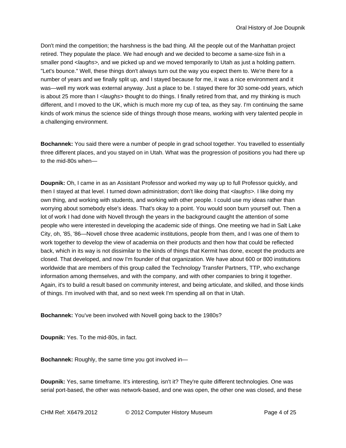Don't mind the competition; the harshness is the bad thing. All the people out of the Manhattan project retired. They populate the place. We had enough and we decided to become a same-size fish in a smaller pond *<laughs>,* and we picked up and we moved temporarily to Utah as just a holding pattern. "Let's bounce." Well, these things don't always turn out the way you expect them to. We're there for a number of years and we finally split up, and I stayed because for me, it was a nice environment and it was—well my work was external anyway. Just a place to be. I stayed there for 30 some-odd years, which is about 25 more than I *<laughs>* thought to do things. I finally retired from that, and my thinking is much different, and I moved to the UK, which is much more my cup of tea, as they say. I'm continuing the same kinds of work minus the science side of things through those means, working with very talented people in a challenging environment.

**Bochannek:** You said there were a number of people in grad school together. You travelled to essentially three different places, and you stayed on in Utah. What was the progression of positions you had there up to the mid-80s when—

**Doupnik:** Oh, I came in as an Assistant Professor and worked my way up to full Professor quickly, and then I stayed at that level. I turned down administration; don't like doing that *<laughs>.* I like doing my own thing, and working with students, and working with other people. I could use my ideas rather than worrying about somebody else's ideas. That's okay to a point. You would soon burn yourself out. Then a lot of work I had done with Novell through the years in the background caught the attention of some people who were interested in developing the academic side of things. One meeting we had in Salt Lake City, oh, '85, '86—Novell chose three academic institutions, people from them, and I was one of them to work together to develop the view of academia on their products and then how that could be reflected back, which in its way is not dissimilar to the kinds of things that Kermit has done, except the products are closed. That developed, and now I'm founder of that organization. We have about 600 or 800 institutions worldwide that are members of this group called the Technology Transfer Partners, TTP, who exchange information among themselves, and with the company, and with other companies to bring it together. Again, it's to build a result based on community interest, and being articulate, and skilled, and those kinds of things. I'm involved with that, and so next week I'm spending all on that in Utah.

**Bochannek:** You've been involved with Novell going back to the 1980s?

**Doupnik:** Yes. To the mid-80s, in fact.

**Bochannek:** Roughly, the same time you got involved in—

**Doupnik:** Yes, same timeframe. It's interesting, isn't it? They're quite different technologies. One was serial port-based, the other was network-based, and one was open, the other one was closed, and these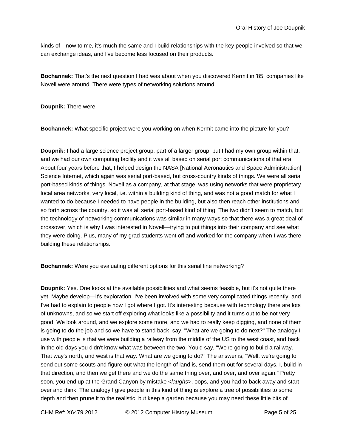kinds of—now to me, it's much the same and I build relationships with the key people involved so that we can exchange ideas, and I've become less focused on their products.

**Bochannek:** That's the next question I had was about when you discovered Kermit in '85, companies like Novell were around. There were types of networking solutions around.

**Doupnik:** There were.

**Bochannek:** What specific project were you working on when Kermit came into the picture for you?

**Doupnik:** I had a large science project group, part of a larger group, but I had my own group within that, and we had our own computing facility and it was all based on serial port communications of that era. About four years before that, I helped design the NASA [National Aeronautics and Space Administration] Science Internet, which again was serial port-based, but cross-country kinds of things. We were all serial port-based kinds of things. Novell as a company, at that stage, was using networks that were proprietary local area networks, very local, i.e. within a building kind of thing, and was not a good match for what I wanted to do because I needed to have people in the building, but also then reach other institutions and so forth across the country, so it was all serial port-based kind of thing. The two didn't seem to match, but the technology of networking communications was similar in many ways so that there was a great deal of crossover, which is why I was interested in Novell—trying to put things into their company and see what they were doing. Plus, many of my grad students went off and worked for the company when I was there building these relationships.

**Bochannek:** Were you evaluating different options for this serial line networking?

**Doupnik:** Yes. One looks at the available possibilities and what seems feasible, but it's not quite there yet. Maybe develop—it's exploration. I've been involved with some very complicated things recently, and I've had to explain to people how I got where I got. It's interesting because with technology there are lots of unknowns, and so we start off exploring what looks like a possibility and it turns out to be not very good. We look around, and we explore some more, and we had to really keep digging, and none of them is going to do the job and so we have to stand back, say, "What are we going to do next?" The analogy I use with people is that we were building a railway from the middle of the US to the west coast, and back in the old days you didn't know what was between the two. You'd say, "We're going to build a railway. That way's north, and west is that way. What are we going to do?" The answer is, "Well, we're going to send out some scouts and figure out what the length of land is, send them out for several days. I, build in that direction, and then we get there and we do the same thing over, and over, and over again." Pretty soon, you end up at the Grand Canyon by mistake *<laughs>*, oops, and you had to back away and start over and think. The analogy I give people in this kind of thing is explore a tree of possibilities to some depth and then prune it to the realistic, but keep a garden because you may need these little bits of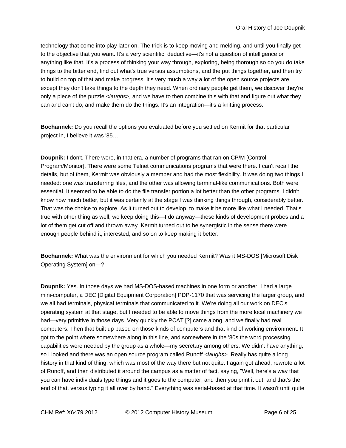technology that come into play later on. The trick is to keep moving and melding, and until you finally get to the objective that you want. It's a very scientific, deductive—it's not a question of intelligence or anything like that. It's a process of thinking your way through, exploring, being thorough so do you do take things to the bitter end, find out what's true versus assumptions, and the put things together, and then try to build on top of that and make progress. It's very much a way a lot of the open source projects are, except they don't take things to the depth they need. When ordinary people get them, we discover they're only a piece of the puzzle *<laughs>,* and we have to then combine this with that and figure out what they can and can't do, and make them do the things. It's an integration—it's a knitting process.

**Bochannek:** Do you recall the options you evaluated before you settled on Kermit for that particular project in, I believe it was '85…

**Doupnik:** I don't. There were, in that era, a number of programs that ran on CP/M [Control Program/Monitor]. There were some Telnet communications programs that were there. I can't recall the details, but of them, Kermit was obviously a member and had the most flexibility. It was doing two things I needed: one was transferring files, and the other was allowing terminal-like communications. Both were essential. It seemed to be able to do the file transfer portion a lot better than the other programs. I didn't know how much better, but it was certainly at the stage I was thinking things through, considerably better. That was the choice to explore. As it turned out to develop, to make it be more like what I needed. That's true with other thing as well; we keep doing this—I do anyway—these kinds of development probes and a lot of them get cut off and thrown away. Kermit turned out to be synergistic in the sense there were enough people behind it, interested, and so on to keep making it better.

**Bochannek:** What was the environment for which you needed Kermit? Was it MS-DOS [Microsoft Disk Operating System] on—?

**Doupnik:** Yes. In those days we had MS-DOS-based machines in one form or another. I had a large mini-computer, a DEC [Digital Equipment Corporation] PDP-1170 that was servicing the larger group, and we all had terminals, physical terminals that communicated to it. We're doing all our work on DEC's operating system at that stage, but I needed to be able to move things from the more local machinery we had—very primitive in those days. Very quickly the PCAT [?] came along, and we finally had real computers. Then that built up based on those kinds of computers and that kind of working environment. It got to the point where somewhere along in this line, and somewhere in the '80s the word processing capabilities were needed by the group as a whole—my secretary among others. We didn't have anything, so I looked and there was an open source program called Runoff *<laughs>.* Really has quite a long history in that kind of thing, which was most of the way there but not quite. I again got ahead, rewrote a lot of Runoff, and then distributed it around the campus as a matter of fact, saying, "Well, here's a way that you can have individuals type things and it goes to the computer, and then you print it out, and that's the end of that, versus typing it all over by hand." Everything was serial-based at that time. It wasn't until quite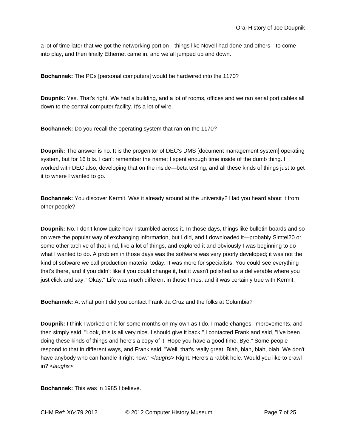a lot of time later that we got the networking portion—things like Novell had done and others—to come into play, and then finally Ethernet came in, and we all jumped up and down.

**Bochannek:** The PCs [personal computers] would be hardwired into the 1170?

**Doupnik:** Yes. That's right. We had a building, and a lot of rooms, offices and we ran serial port cables all down to the central computer facility. It's a lot of wire.

**Bochannek:** Do you recall the operating system that ran on the 1170?

**Doupnik:** The answer is no. It is the progenitor of DEC's DMS [document management system] operating system, but for 16 bits. I can't remember the name; I spent enough time inside of the dumb thing. I worked with DEC also, developing that on the inside—beta testing, and all these kinds of things just to get it to where I wanted to go.

**Bochannek:** You discover Kermit. Was it already around at the university? Had you heard about it from other people?

**Doupnik:** No. I don't know quite how I stumbled across it. In those days, things like bulletin boards and so on were the popular way of exchanging information, but I did, and I downloaded it—probably Simtel20 or some other archive of that kind, like a lot of things, and explored it and obviously I was beginning to do what I wanted to do. A problem in those days was the software was very poorly developed; it was not the kind of software we call production material today. It was more for specialists. You could see everything that's there, and if you didn't like it you could change it, but it wasn't polished as a deliverable where you just click and say, "Okay." Life was much different in those times, and it was certainly true with Kermit.

**Bochannek:** At what point did you contact Frank da Cruz and the folks at Columbia?

**Doupnik:** I think I worked on it for some months on my own as I do. I made changes, improvements, and then simply said, "Look, this is all very nice. I should give it back." I contacted Frank and said, "I've been doing these kinds of things and here's a copy of it. Hope you have a good time. Bye." Some people respond to that in different ways, and Frank said, "Well, that's really great. Blah, blah, blah, blah. We don't have anybody who can handle it right now." *<laughs>* Right. Here's a rabbit hole. Would you like to crawl in? *<laughs>*

**Bochannek:** This was in 1985 I believe.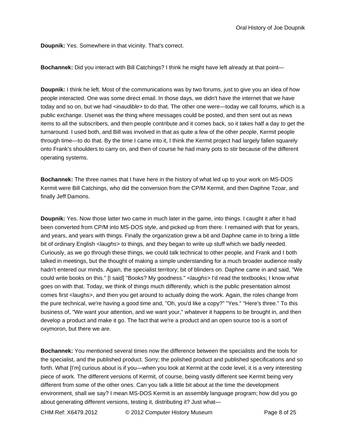**Doupnik:** Yes. Somewhere in that vicinity. That's correct.

**Bochannek:** Did you interact with Bill Catchings? I think he might have left already at that point—

**Doupnik:** I think he left. Most of the communications was by two forums, just to give you an idea of how people interacted. One was some direct email. In those days, we didn't have the internet that we have today and so on, but we had *<inaudible>* to do that. The other one were—today we call forums, which is a public exchange. Usenet was the thing where messages could be posted, and then sent out as news items to all the subscribers, and then people contribute and it comes back, so it takes half a day to get the turnaround. I used both, and Bill was involved in that as quite a few of the other people, Kermit people through time—to do that. By the time I came into it, I think the Kermit project had largely fallen squarely onto Frank's shoulders to carry on, and then of course he had many pots to stir because of the different operating systems.

**Bochannek:** The three names that I have here in the history of what led up to your work on MS-DOS Kermit were Bill Catchings, who did the conversion from the CP/M Kermit, and then Daphne Tzoar, and finally Jeff Damons.

**Doupnik:** Yes. Now those latter two came in much later in the game, into things. I caught it after it had been converted from CP/M into MS-DOS style, and picked up from there. I remained with that for years, and years, and years with things. Finally the organization grew a bit and Daphne came in to bring a little bit of ordinary English *<laughs>* to things, and they began to write up stuff which we badly needed. Curiously, as we go through these things, we could talk technical to other people, and Frank and I both talked in meetings, but the thought of making a simple understanding for a much broader audience really hadn't entered our minds. Again, the specialist territory; bit of blinders on. Daphne came in and said, "We could write books on this." [I said] "Books? My goodness." *<laughs>* I'd read the textbooks; I know what goes on with that. Today, we think of things much differently, which is the public presentation almost comes first <laughs>, and then you get around to actually doing the work. Again, the roles change from the pure technical, we're having a good time and, "Oh, you'd like a copy?" "Yes." "Here's three." To this business of, "We want your attention, and we want your," whatever it happens to be brought in, and then develop a product and make it go. The fact that we're a product and an open source too is a sort of oxymoron, but there we are.

**Bochannek:** You mentioned several times now the difference between the specialists and the tools for the specialist, and the published product. Sorry; the polished product and published specifications and so forth. What [I'm] curious about is if you—when you look at Kermit at the code level, it is a very interesting piece of work. The different versions of Kermit, of course, being vastly different see Kermit being very different from some of the other ones. Can you talk a little bit about at the time the development environment, shall we say? I mean MS-DOS Kermit is an assembly language program; how did you go about generating different versions, testing it, distributing it? Just what—

CHM Ref: X6479.2012 © 2012 Computer History Museum Page 8 of 25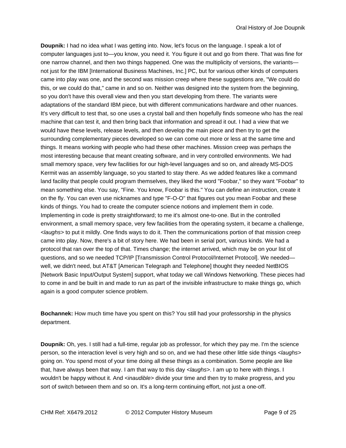**Doupnik:** I had no idea what I was getting into. Now, let's focus on the language. I speak a lot of computer languages just to—you know, you need it. You figure it out and go from there. That was fine for one narrow channel, and then two things happened. One was the multiplicity of versions, the variants not just for the IBM [International Business Machines, Inc.] PC, but for various other kinds of computers came into play was one, and the second was mission creep where these suggestions are, "We could do this, or we could do that," came in and so on. Neither was designed into the system from the beginning, so you don't have this overall view and then you start developing from there. The variants were adaptations of the standard IBM piece, but with different communications hardware and other nuances. It's very difficult to test that, so one uses a crystal ball and then hopefully finds someone who has the real machine that can test it, and then bring back that information and spread it out. I had a view that we would have these levels, release levels, and then develop the main piece and then try to get the surrounding complementary pieces developed so we can come out more or less at the same time and things. It means working with people who had these other machines. Mission creep was perhaps the most interesting because that meant creating software, and in very controlled environments. We had small memory space, very few facilities for our high-level languages and so on, and already MS-DOS Kermit was an assembly language, so you started to stay there. As we added features like a command land facility that people could program themselves, they liked the word "Foobar," so they want "Foobar" to mean something else. You say, "Fine. You know, Foobar is this." You can define an instruction, create it on the fly. You can even use nicknames and type "F-O-O" that figures out you mean Foobar and these kinds of things. You had to create the computer science notions and implement them in code. Implementing in code is pretty straightforward; to me it's almost one-to-one. But in the controlled environment, a small memory space, very few facilities from the operating system, it became a challenge, *<laughs>* to put it mildly. One finds ways to do it. Then the communications portion of that mission creep came into play. Now, there's a bit of story here. We had been in serial port, various kinds. We had a protocol that ran over the top of that. Times change; the internet arrived, which may be on your list of questions, and so we needed TCP/IP [Transmission Control Protocol/Internet Protocol]. We needed well, we didn't need, but AT&T [American Telegraph and Telephone] thought they needed NetBIOS [Network Basic Input/Output System] support, what today we call Windows Networking. These pieces had to come in and be built in and made to run as part of the invisible infrastructure to make things go, which again is a good computer science problem.

**Bochannek:** How much time have you spent on this? You still had your professorship in the physics department.

**Doupnik:** Oh, yes. I still had a full-time, regular job as professor, for which they pay me. I'm the science person, so the interaction level is very high and so on, and we had these other little side things *<laughs>* going on. You spend most of your time doing all these things as a combination. Some people are like that, have always been that way. I am that way to this day *<laughs>*. I am up to here with things. I wouldn't be happy without it. And *<inaudible>* divide your time and then try to make progress, and you sort of switch between them and so on. It's a long-term continuing effort, not just a one-off.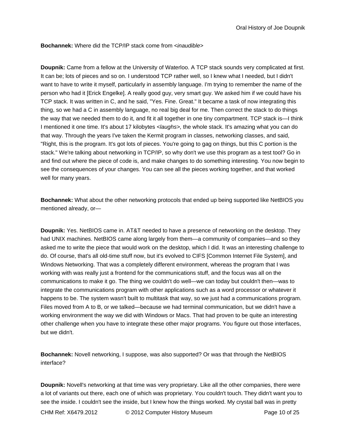**Bochannek:** Where did the TCP/IP stack come from *<inaudible>*

**Doupnik:** Came from a fellow at the University of Waterloo. A TCP stack sounds very complicated at first. It can be; lots of pieces and so on. I understood TCP rather well, so I knew what I needed, but I didn't want to have to write it myself, particularly in assembly language. I'm trying to remember the name of the person who had it [Erick Engelke]. A really good guy, very smart guy. We asked him if we could have his TCP stack. It was written in C, and he said, "Yes. Fine. Great." It became a task of now integrating this thing, so we had a C in assembly language, no real big deal for me. Then correct the stack to do things the way that we needed them to do it, and fit it all together in one tiny compartment. TCP stack is—I think I mentioned it one time. It's about 17 kilobytes *<laughs>,* the whole stack. It's amazing what you can do that way. Through the years I've taken the Kermit program in classes, networking classes, and said, "Right, this is the program. It's got lots of pieces. You're going to gag on things, but this C portion is the stack." We're talking about networking in TCP/IP, so why don't we use this program as a test tool? Go in and find out where the piece of code is, and make changes to do something interesting. You now begin to see the consequences of your changes. You can see all the pieces working together, and that worked well for many years.

**Bochannek:** What about the other networking protocols that ended up being supported like NetBIOS you mentioned already, or—

**Doupnik:** Yes. NetBIOS came in. AT&T needed to have a presence of networking on the desktop. They had UNIX machines. NetBIOS came along largely from them—a community of companies—and so they asked me to write the piece that would work on the desktop, which I did. It was an interesting challenge to do. Of course, that's all old-time stuff now, but it's evolved to CIFS [Common Internet File System], and Windows Networking. That was a completely different environment, whereas the program that I was working with was really just a frontend for the communications stuff, and the focus was all on the communications to make it go. The thing we couldn't do well—we can today but couldn't then—was to integrate the communications program with other applications such as a word processor or whatever it happens to be. The system wasn't built to multitask that way, so we just had a communications program. Files moved from A to B, or we talked—because we had terminal communication, but we didn't have a working environment the way we did with Windows or Macs. That had proven to be quite an interesting other challenge when you have to integrate these other major programs. You figure out those interfaces, but we didn't.

**Bochannek:** Novell networking, I suppose, was also supported? Or was that through the NetBIOS interface?

**Doupnik:** Novell's networking at that time was very proprietary. Like all the other companies, there were a lot of variants out there, each one of which was proprietary. You couldn't touch. They didn't want you to see the inside. I couldn't see the inside, but I knew how the things worked. My crystal ball was in pretty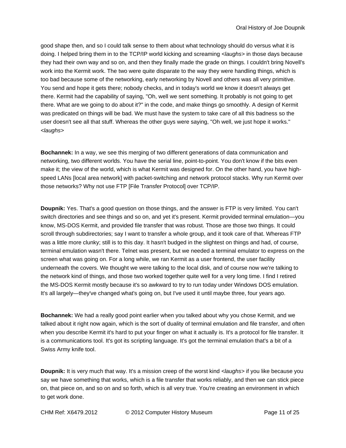good shape then, and so I could talk sense to them about what technology should do versus what it is doing. I helped bring them in to the TCP/IP world kicking and screaming *<laughs>* in those days because they had their own way and so on, and then they finally made the grade on things. I couldn't bring Novell's work into the Kermit work. The two were quite disparate to the way they were handling things, which is too bad because some of the networking, early networking by Novell and others was all very primitive. You send and hope it gets there; nobody checks, and in today's world we know it doesn't always get there. Kermit had the capability of saying, "Oh, well we sent something. It probably is not going to get there. What are we going to do about it?" in the code, and make things go smoothly. A design of Kermit was predicated on things will be bad. We must have the system to take care of all this badness so the user doesn't see all that stuff. Whereas the other guys were saying, "Oh well, we just hope it works." *<laughs>*

**Bochannek:** In a way, we see this merging of two different generations of data communication and networking, two different worlds. You have the serial line, point-to-point. You don't know if the bits even make it; the view of the world, which is what Kermit was designed for. On the other hand, you have highspeed LANs [local area network] with packet-switching and network protocol stacks. Why run Kermit over those networks? Why not use FTP [File Transfer Protocol] over TCP/IP.

**Doupnik:** Yes. That's a good question on those things, and the answer is FTP is very limited. You can't switch directories and see things and so on, and yet it's present. Kermit provided terminal emulation—you know, MS-DOS Kermit, and provided file transfer that was robust. Those are those two things. It could scroll through subdirectories; say I want to transfer a whole group, and it took care of that. Whereas FTP was a little more clunky; still is to this day. It hasn't budged in the slightest on things and had, of course, terminal emulation wasn't there. Telnet was present, but we needed a terminal emulator to express on the screen what was going on. For a long while, we ran Kermit as a user frontend, the user facility underneath the covers. We thought we were talking to the local disk, and of course now we're talking to the network kind of things, and those two worked together quite well for a very long time. I find I retired the MS-DOS Kermit mostly because it's so awkward to try to run today under Windows DOS emulation. It's all largely—they've changed what's going on, but I've used it until maybe three, four years ago.

**Bochannek:** We had a really good point earlier when you talked about why you chose Kermit, and we talked about it right now again, which is the sort of duality of terminal emulation and file transfer, and often when you describe Kermit it's hard to put your finger on what it actually is. It's a protocol for file transfer. It is a communications tool. It's got its scripting language. It's got the terminal emulation that's a bit of a Swiss Army knife tool.

**Doupnik:** It is very much that way. It's a mission creep of the worst kind *<laughs>* if you like because you say we have something that works, which is a file transfer that works reliably, and then we can stick piece on, that piece on, and so on and so forth, which is all very true. You're creating an environment in which to get work done.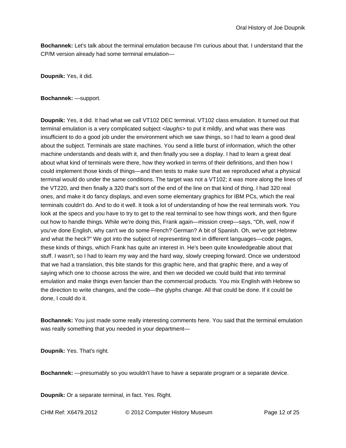**Bochannek:** Let's talk about the terminal emulation because I'm curious about that. I understand that the CP/M version already had some terminal emulation—

**Doupnik:** Yes, it did.

**Bochannek:** —support.

**Doupnik:** Yes, it did. It had what we call VT102 DEC terminal. VT102 class emulation. It turned out that terminal emulation is a very complicated subject *<laughs>* to put it mildly, and what was there was insufficient to do a good job under the environment which we saw things, so I had to learn a good deal about the subject. Terminals are state machines. You send a little burst of information, which the other machine understands and deals with it, and then finally you see a display. I had to learn a great deal about what kind of terminals were there, how they worked in terms of their definitions, and then how I could implement those kinds of things—and then tests to make sure that we reproduced what a physical terminal would do under the same conditions. The target was not a VT102; it was more along the lines of the VT220, and then finally a 320 that's sort of the end of the line on that kind of thing. I had 320 real ones, and make it do fancy displays, and even some elementary graphics for IBM PCs, which the real terminals couldn't do. And to do it well. It took a lot of understanding of how the real terminals work. You look at the specs and you have to try to get to the real terminal to see how things work, and then figure out how to handle things. While we're doing this, Frank again—mission creep—says, "Oh, well, now if you've done English, why can't we do some French? German? A bit of Spanish. Oh, we've got Hebrew and what the heck?" We got into the subject of representing text in different languages—code pages, these kinds of things, which Frank has quite an interest in. He's been quite knowledgeable about that stuff. I wasn't, so I had to learn my way and the hard way, slowly creeping forward. Once we understood that we had a translation, this bite stands for this graphic here, and that graphic there, and a way of saying which one to choose across the wire, and then we decided we could build that into terminal emulation and make things even fancier than the commercial products. You mix English with Hebrew so the direction to write changes, and the code—the glyphs change. All that could be done. If it could be done, I could do it.

**Bochannek:** You just made some really interesting comments here. You said that the terminal emulation was really something that you needed in your department—

**Doupnik:** Yes. That's right.

**Bochannek:** —presumably so you wouldn't have to have a separate program or a separate device.

**Doupnik:** Or a separate terminal, in fact. Yes. Right.

CHM Ref: X6479.2012 © 2012 Computer History Museum Page 12 of 25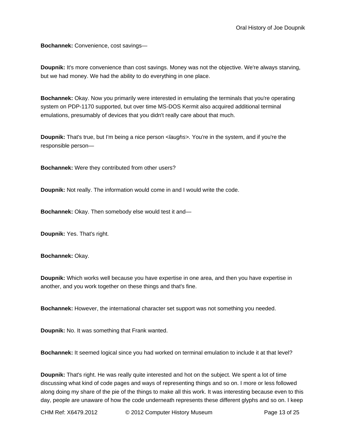**Bochannek:** Convenience, cost savings—

**Doupnik:** It's more convenience than cost savings. Money was not the objective. We're always starving, but we had money. We had the ability to do everything in one place.

**Bochannek:** Okay. Now you primarily were interested in emulating the terminals that you're operating system on PDP-1170 supported, but over time MS-DOS Kermit also acquired additional terminal emulations, presumably of devices that you didn't really care about that much.

**Doupnik:** That's true, but I'm being a nice person *<laughs>.* You're in the system, and if you're the responsible person—

**Bochannek:** Were they contributed from other users?

**Doupnik:** Not really. The information would come in and I would write the code.

**Bochannek:** Okay. Then somebody else would test it and—

**Doupnik:** Yes. That's right.

**Bochannek:** Okay.

**Doupnik:** Which works well because you have expertise in one area, and then you have expertise in another, and you work together on these things and that's fine.

**Bochannek:** However, the international character set support was not something you needed.

**Doupnik:** No. It was something that Frank wanted.

**Bochannek:** It seemed logical since you had worked on terminal emulation to include it at that level?

**Doupnik:** That's right. He was really quite interested and hot on the subject. We spent a lot of time discussing what kind of code pages and ways of representing things and so on. I more or less followed along doing my share of the pie of the things to make all this work. It was interesting because even to this day, people are unaware of how the code underneath represents these different glyphs and so on. I keep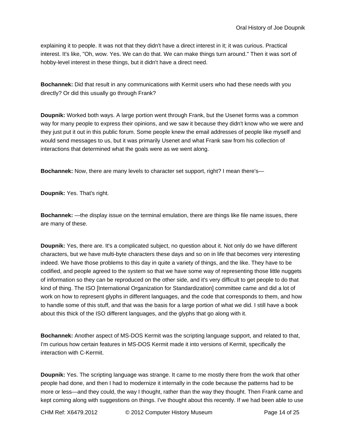explaining it to people. It was not that they didn't have a direct interest in it; it was curious. Practical interest. It's like, "Oh, wow. Yes. We can do that. We can make things turn around." Then it was sort of hobby-level interest in these things, but it didn't have a direct need.

**Bochannek:** Did that result in any communications with Kermit users who had these needs with you directly? Or did this usually go through Frank?

**Doupnik:** Worked both ways. A large portion went through Frank, but the Usenet forms was a common way for many people to express their opinions, and we saw it because they didn't know who we were and they just put it out in this public forum. Some people knew the email addresses of people like myself and would send messages to us, but it was primarily Usenet and what Frank saw from his collection of interactions that determined what the goals were as we went along.

**Bochannek:** Now, there are many levels to character set support, right? I mean there's—

**Doupnik:** Yes. That's right.

**Bochannek:** —the display issue on the terminal emulation, there are things like file name issues, there are many of these.

**Doupnik:** Yes, there are. It's a complicated subject, no question about it. Not only do we have different characters, but we have multi-byte characters these days and so on in life that becomes very interesting indeed. We have those problems to this day in quite a variety of things, and the like. They have to be codified, and people agreed to the system so that we have some way of representing those little nuggets of information so they can be reproduced on the other side, and it's very difficult to get people to do that kind of thing. The ISO [International Organization for Standardization] committee came and did a lot of work on how to represent glyphs in different languages, and the code that corresponds to them, and how to handle some of this stuff, and that was the basis for a large portion of what we did. I still have a book about this thick of the ISO different languages, and the glyphs that go along with it.

**Bochannek:** Another aspect of MS-DOS Kermit was the scripting language support, and related to that, I'm curious how certain features in MS-DOS Kermit made it into versions of Kermit, specifically the interaction with C-Kermit.

**Doupnik:** Yes. The scripting language was strange. It came to me mostly there from the work that other people had done, and then I had to modernize it internally in the code because the patterns had to be more or less—and they could, the way I thought, rather than the way they thought. Then Frank came and kept coming along with suggestions on things. I've thought about this recently. If we had been able to use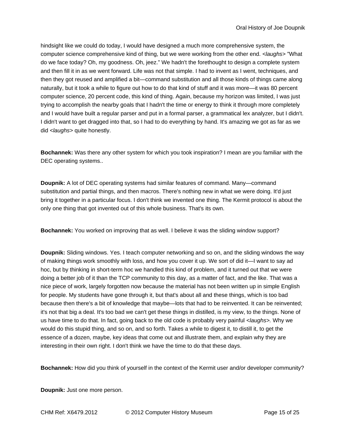hindsight like we could do today, I would have designed a much more comprehensive system, the computer science comprehensive kind of thing, but we were working from the other end. *<laughs>* "What do we face today? Oh, my goodness. Oh, jeez." We hadn't the forethought to design a complete system and then fill it in as we went forward. Life was not that simple. I had to invent as I went, techniques, and then they got reused and amplified a bit—command substitution and all those kinds of things came along naturally, but it took a while to figure out how to do that kind of stuff and it was more—it was 80 percent computer science, 20 percent code, this kind of thing. Again, because my horizon was limited, I was just trying to accomplish the nearby goals that I hadn't the time or energy to think it through more completely and I would have built a regular parser and put in a formal parser, a grammatical lex analyzer, but I didn't. I didn't want to get dragged into that, so I had to do everything by hand. It's amazing we got as far as we did *<laughs>* quite honestly.

**Bochannek:** Was there any other system for which you took inspiration? I mean are you familiar with the DEC operating systems..

**Doupnik:** A lot of DEC operating systems had similar features of command. Many—command substitution and partial things, and then macros. There's nothing new in what we were doing. It'd just bring it together in a particular focus. I don't think we invented one thing. The Kermit protocol is about the only one thing that got invented out of this whole business. That's its own.

**Bochannek:** You worked on improving that as well. I believe it was the sliding window support?

**Doupnik:** Sliding windows. Yes. I teach computer networking and so on, and the sliding windows the way of making things work smoothly with loss, and how you cover it up. We sort of did it—I want to say ad hoc, but by thinking in short-term hoc we handled this kind of problem, and it turned out that we were doing a better job of it than the TCP community to this day, as a matter of fact, and the like. That was a nice piece of work, largely forgotten now because the material has not been written up in simple English for people. My students have gone through it, but that's about all and these things, which is too bad because then there's a bit of knowledge that maybe—lots that had to be reinvented. It can be reinvented; it's not that big a deal. It's too bad we can't get these things in distilled, is my view, to the things. None of us have time to do that. In fact, going back to the old code is probably very painful *<laughs>.* Why we would do this stupid thing, and so on, and so forth. Takes a while to digest it, to distill it, to get the essence of a dozen, maybe, key ideas that come out and illustrate them, and explain why they are interesting in their own right. I don't think we have the time to do that these days.

**Bochannek:** How did you think of yourself in the context of the Kermit user and/or developer community?

**Doupnik:** Just one more person.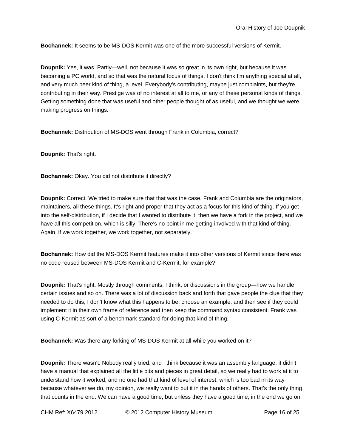**Bochannek:** It seems to be MS-DOS Kermit was one of the more successful versions of Kermit.

**Doupnik:** Yes, it was. Partly—well, not because it was so great in its own right, but because it was becoming a PC world, and so that was the natural focus of things. I don't think I'm anything special at all, and very much peer kind of thing, a level. Everybody's contributing, maybe just complaints, but they're contributing in their way. Prestige was of no interest at all to me, or any of these personal kinds of things. Getting something done that was useful and other people thought of as useful, and we thought we were making progress on things.

**Bochannek:** Distribution of MS-DOS went through Frank in Columbia, correct?

**Doupnik:** That's right.

**Bochannek:** Okay. You did not distribute it directly?

**Doupnik:** Correct. We tried to make sure that that was the case. Frank and Columbia are the originators, maintainers, all these things. It's right and proper that they act as a focus for this kind of thing. If you get into the self-distribution, if I decide that I wanted to distribute it, then we have a fork in the project, and we have all this competition, which is silly. There's no point in me getting involved with that kind of thing. Again, if we work together, we work together, not separately.

**Bochannek:** How did the MS-DOS Kermit features make it into other versions of Kermit since there was no code reused between MS-DOS Kermit and C-Kermit, for example?

**Doupnik:** That's right. Mostly through comments, I think, or discussions in the group—how we handle certain issues and so on. There was a lot of discussion back and forth that gave people the clue that they needed to do this, I don't know what this happens to be, choose an example, and then see if they could implement it in their own frame of reference and then keep the command syntax consistent. Frank was using C-Kermit as sort of a benchmark standard for doing that kind of thing.

**Bochannek:** Was there any forking of MS-DOS Kermit at all while you worked on it?

**Doupnik:** There wasn't. Nobody really tried, and I think because it was an assembly language, it didn't have a manual that explained all the little bits and pieces in great detail, so we really had to work at it to understand how it worked, and no one had that kind of level of interest, which is too bad in its way because whatever we do, my opinion, we really want to put it in the hands of others. That's the only thing that counts in the end. We can have a good time, but unless they have a good time, in the end we go on.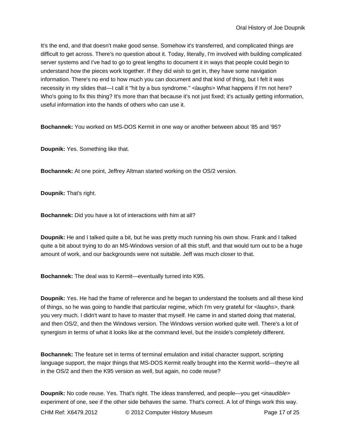It's the end, and that doesn't make good sense. Somehow it's transferred, and complicated things are difficult to get across. There's no question about it. Today, literally, I'm involved with building complicated server systems and I've had to go to great lengths to document it in ways that people could begin to understand how the pieces work together. If they did wish to get in, they have some navigation information. There's no end to how much you can document and that kind of thing, but I felt it was necessity in my slides that—I call it "hit by a bus syndrome." *<laughs>* What happens if I'm not here? Who's going to fix this thing? It's more than that because it's not just fixed; it's actually getting information, useful information into the hands of others who can use it.

**Bochannek:** You worked on MS-DOS Kermit in one way or another between about '85 and '95?

**Doupnik:** Yes. Something like that.

**Bochannek:** At one point, Jeffrey Altman started working on the OS/2 version.

**Doupnik:** That's right.

**Bochannek:** Did you have a lot of interactions with him at all?

**Doupnik:** He and I talked quite a bit, but he was pretty much running his own show. Frank and I talked quite a bit about trying to do an MS-Windows version of all this stuff, and that would turn out to be a huge amount of work, and our backgrounds were not suitable. Jeff was much closer to that.

**Bochannek:** The deal was to Kermit—eventually turned into K95.

**Doupnik:** Yes. He had the frame of reference and he began to understand the toolsets and all these kind of things, so he was going to handle that particular regime, which I'm very grateful for *<laughs>,* thank you very much. I didn't want to have to master that myself. He came in and started doing that material, and then OS/2, and then the Windows version. The Windows version worked quite well. There's a lot of synergism in terms of what it looks like at the command level, but the inside's completely different.

**Bochannek:** The feature set in terms of terminal emulation and initial character support, scripting language support, the major things that MS-DOS Kermit really brought into the Kermit world—they're all in the OS/2 and then the K95 version as well, but again, no code reuse?

**Doupnik:** No code reuse. Yes. That's right. The ideas transferred, and people—you get *<inaudible>* experiment of one, see if the other side behaves the same. That's correct. A lot of things work this way.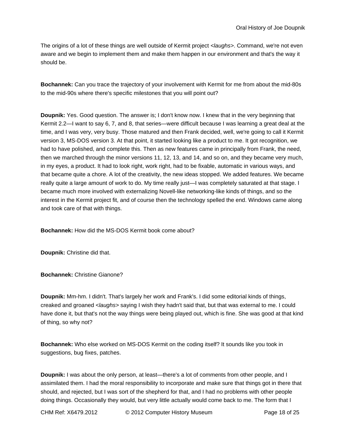The origins of a lot of these things are well outside of Kermit project *<laughs>*. Command, we're not even aware and we begin to implement them and make them happen in our environment and that's the way it should be.

**Bochannek:** Can you trace the trajectory of your involvement with Kermit for me from about the mid-80s to the mid-90s where there's specific milestones that you will point out?

**Doupnik:** Yes. Good question. The answer is; I don't know now. I knew that in the very beginning that Kermit 2.2—I want to say 6, 7, and 8, that series—were difficult because I was learning a great deal at the time, and I was very, very busy. Those matured and then Frank decided, well, we're going to call it Kermit version 3, MS-DOS version 3. At that point, it started looking like a product to me. It got recognition, we had to have polished, and complete this. Then as new features came in principally from Frank, the need, then we marched through the minor versions 11, 12, 13, and 14, and so on, and they became very much, in my eyes, a product. It had to look right, work right, had to be fixable, automatic in various ways, and that became quite a chore. A lot of the creativity, the new ideas stopped. We added features. We became really quite a large amount of work to do. My time really just—I was completely saturated at that stage. I became much more involved with externalizing Novell-like networking-like kinds of things, and so the interest in the Kermit project fit, and of course then the technology spelled the end. Windows came along and took care of that with things.

**Bochannek:** How did the MS-DOS Kermit book come about?

**Doupnik:** Christine did that.

**Bochannek:** Christine Gianone?

**Doupnik:** Mm-hm. I didn't. That's largely her work and Frank's. I did some editorial kinds of things, creaked and groaned *<laughs>* saying I wish they hadn't said that, but that was external to me. I could have done it, but that's not the way things were being played out, which is fine. She was good at that kind of thing, so why not?

**Bochannek:** Who else worked on MS-DOS Kermit on the coding itself? It sounds like you took in suggestions, bug fixes, patches.

**Doupnik:** I was about the only person, at least—there's a lot of comments from other people, and I assimilated them. I had the moral responsibility to incorporate and make sure that things got in there that should, and rejected, but I was sort of the shepherd for that, and I had no problems with other people doing things. Occasionally they would, but very little actually would come back to me. The form that I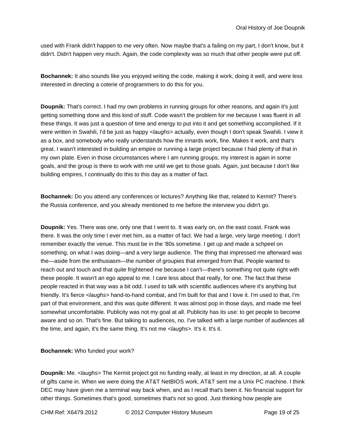used with Frank didn't happen to me very often. Now maybe that's a failing on my part, I don't know, but it didn't. Didn't happen very much. Again, the code complexity was so much that other people were put off.

**Bochannek:** It also sounds like you enjoyed writing the code, making it work, doing it well, and were less interested in directing a coterie of programmers to do this for you.

**Doupnik:** That's correct. I had my own problems in running groups for other reasons, and again it's just getting something done and this kind of stuff. Code wasn't the problem for me because I was fluent in all these things. It was just a question of time and energy to put into it and get something accomplished. If it were written in Swahili, I'd be just as happy *<laughs>* actually, even though I don't speak Swahili. I view it as a box, and somebody who really understands how the innards work, fine. Makes it work, and that's great. I wasn't interested in building an empire or running a large project because I had plenty of that in my own plate. Even in those circumstances where I am running groups, my interest is again in some goals, and the group is there to work with me until we get to those goals. Again, just because I don't like building empires, I continually do this to this day as a matter of fact.

**Bochannek:** Do you attend any conferences or lectures? Anything like that, related to Kermit? There's the Russia conference, and you already mentioned to me before the interview you didn't go.

**Doupnik:** Yes. There was one, only one that I went to. It was early on, on the east coast. Frank was there. It was the only time I ever met him, as a matter of fact. We had a large, very large meeting. I don't remember exactly the venue. This must be in the '80s sometime. I get up and made a schpeel on something, on what I was doing—and a very large audience. The thing that impressed me afterward was the—aside from the enthusiasm—the number of groupies that emerged from that. People wanted to reach out and touch and that quite frightened me because I can't—there's something not quite right with these people. It wasn't an ego appeal to me. I care less about that really, for one. The fact that these people reacted in that way was a bit odd. I used to talk with scientific audiences where it's anything but friendly. It's fierce *<laughs>* hand-to-hand combat, and I'm built for that and I love it. I'm used to that, I'm part of that environment, and this was quite different. It was almost pop in those days, and made me feel somewhat uncomfortable. Publicity was not my goal at all. Publicity has its use: to get people to become aware and so on. That's fine. But talking to audiences, no. I've talked with a large number of audiences all the time, and again, it's the same thing. It's not me *<laughs>.* It's it. It's it.

**Bochannek:** Who funded your work?

**Doupnik:** Me. *<laughs>* The Kermit project got no funding really, at least in my direction, at all. A couple of gifts came in. When we were doing the AT&T NetBIOS work, AT&T sent me a Unix PC machine. I think DEC may have given me a terminal way back when, and as I recall that's been it. No financial support for other things. Sometimes that's good, sometimes that's not so good. Just thinking how people are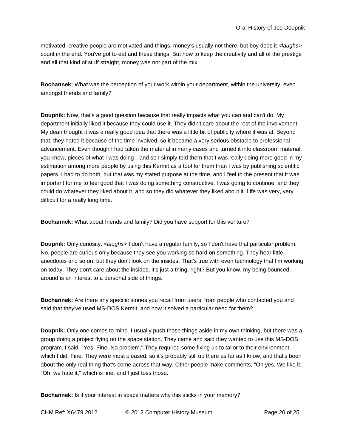motivated, creative people are motivated and things, money's usually not there, but boy does it *<laughs>* count in the end. You've got to eat and these things. But how to keep the creativity and all of the prestige and all that kind of stuff straight, money was not part of the mix.

**Bochannek:** What was the perception of your work within your department, within the university, even amongst friends and family?

**Doupnik:** Now, that's a good question because that really impacts what you can and can't do. My department initially liked it because they could use it. They didn't care about the rest of the involvement. My dean thought it was a really good idea that there was a little bit of publicity where it was at. Beyond that, they hated it because of the time involved, so it became a very serious obstacle to professional advancement. Even though I had taken the material in many cases and turned it into classroom material, you know, pieces of what I was doing—and so I simply told them that I was really doing more good in my estimation among more people by using this Kermit as a tool for them than I was by publishing scientific papers. I had to do both, but that was my stated purpose at the time, and I feel to the present that it was important for me to feel good that I was doing something constructive. I was going to continue, and they could do whatever they liked about it, and so they did whatever they liked about it. Life was very, very difficult for a really long time.

**Bochannek:** What about friends and family? Did you have support for this venture?

**Doupnik:** Only curiosity. *<laughs>* I don't have a regular family, so I don't have that particular problem. No, people are curious only because they see you working so hard on something. They hear little anecdotes and so on, but they don't look on the insides. That's true with even technology that I'm working on today. They don't care about the insides; it's just a thing, right? But you know, my being bounced around is an interest to a personal side of things.

**Bochannek:** Are there any specific stories you recall from users, from people who contacted you and said that they've used MS-DOS Kermit, and how it solved a particular need for them?

**Doupnik:** Only one comes to mind. I usually push those things aside in my own thinking, but there was a group doing a project flying on the space station. They came and said they wanted to use this MS-DOS program. I said, "Yes. Fine. No problem." They required some fixing up to tailor to their environment, which I did. Fine. They were most pleased, so it's probably still up there as far as I know, and that's been about the only real thing that's come across that way. Other people make comments, "Oh yes. We like it." "Oh, we hate it," which is fine, and I just toss those.

**Bochannek:** Is it your interest in space matters why this sticks in your memory?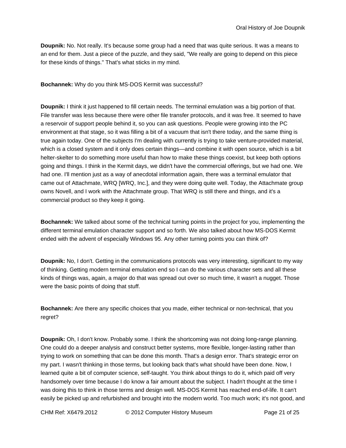**Doupnik:** No. Not really. It's because some group had a need that was quite serious. It was a means to an end for them. Just a piece of the puzzle, and they said, "We really are going to depend on this piece for these kinds of things." That's what sticks in my mind.

**Bochannek:** Why do you think MS-DOS Kermit was successful?

**Doupnik:** I think it just happened to fill certain needs. The terminal emulation was a big portion of that. File transfer was less because there were other file transfer protocols, and it was free. It seemed to have a reservoir of support people behind it, so you can ask questions. People were growing into the PC environment at that stage, so it was filling a bit of a vacuum that isn't there today, and the same thing is true again today. One of the subjects I'm dealing with currently is trying to take venture-provided material, which is a closed system and it only does certain things—and combine it with open source, which is a bit helter-skelter to do something more useful than how to make these things coexist, but keep both options going and things. I think in the Kermit days, we didn't have the commercial offerings, but we had one. We had one. I'll mention just as a way of anecdotal information again, there was a terminal emulator that came out of Attachmate, WRQ [WRQ, Inc.], and they were doing quite well. Today, the Attachmate group owns Novell, and I work with the Attachmate group. That WRQ is still there and things, and it's a commercial product so they keep it going.

**Bochannek:** We talked about some of the technical turning points in the project for you, implementing the different terminal emulation character support and so forth. We also talked about how MS-DOS Kermit ended with the advent of especially Windows 95. Any other turning points you can think of?

**Doupnik:** No, I don't. Getting in the communications protocols was very interesting, significant to my way of thinking. Getting modern terminal emulation end so I can do the various character sets and all these kinds of things was, again, a major do that was spread out over so much time, it wasn't a nugget. Those were the basic points of doing that stuff.

**Bochannek:** Are there any specific choices that you made, either technical or non-technical, that you regret?

**Doupnik:** Oh, I don't know. Probably some. I think the shortcoming was not doing long-range planning. One could do a deeper analysis and construct better systems, more flexible, longer-lasting rather than trying to work on something that can be done this month. That's a design error. That's strategic error on my part. I wasn't thinking in those terms, but looking back that's what should have been done. Now, I learned quite a bit of computer science, self-taught. You think about things to do it, which paid off very handsomely over time because I do know a fair amount about the subject. I hadn't thought at the time I was doing this to think in those terms and design well. MS-DOS Kermit has reached end-of-life. It can't easily be picked up and refurbished and brought into the modern world. Too much work; it's not good, and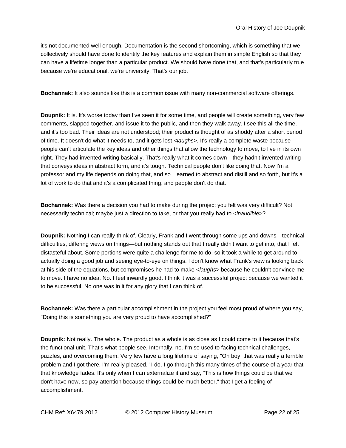it's not documented well enough. Documentation is the second shortcoming, which is something that we collectively should have done to identify the key features and explain them in simple English so that they can have a lifetime longer than a particular product. We should have done that, and that's particularly true because we're educational, we're university. That's our job.

**Bochannek:** It also sounds like this is a common issue with many non-commercial software offerings.

**Doupnik:** It is. It's worse today than I've seen it for some time, and people will create something, very few comments, slapped together, and issue it to the public, and then they walk away. I see this all the time, and it's too bad. Their ideas are not understood; their product is thought of as shoddy after a short period of time. It doesn't do what it needs to, and it gets lost *<laughs>.* It's really a complete waste because people can't articulate the key ideas and other things that allow the technology to move, to live in its own right. They had invented writing basically. That's really what it comes down—they hadn't invented writing that conveys ideas in abstract form, and it's tough. Technical people don't like doing that. Now I'm a professor and my life depends on doing that, and so I learned to abstract and distill and so forth, but it's a lot of work to do that and it's a complicated thing, and people don't do that.

**Bochannek:** Was there a decision you had to make during the project you felt was very difficult? Not necessarily technical; maybe just a direction to take, or that you really had to *<inaudible>*?

**Doupnik:** Nothing I can really think of. Clearly, Frank and I went through some ups and downs—technical difficulties, differing views on things—but nothing stands out that I really didn't want to get into, that I felt distasteful about. Some portions were quite a challenge for me to do, so it took a while to get around to actually doing a good job and seeing eye-to-eye on things. I don't know what Frank's view is looking back at his side of the equations, but compromises he had to make *<laughs>* because he couldn't convince me to move. I have no idea. No. I feel inwardly good. I think it was a successful project because we wanted it to be successful. No one was in it for any glory that I can think of.

**Bochannek:** Was there a particular accomplishment in the project you feel most proud of where you say, "Doing this is something you are very proud to have accomplished?"

**Doupnik:** Not really. The whole. The product as a whole is as close as I could come to it because that's the functional unit. That's what people see. Internally, no. I'm so used to facing technical challenges, puzzles, and overcoming them. Very few have a long lifetime of saying, "Oh boy, that was really a terrible problem and I got there. I'm really pleased." I do. I go through this many times of the course of a year that that knowledge fades. It's only when I can externalize it and say, "This is how things could be that we don't have now, so pay attention because things could be much better," that I get a feeling of accomplishment.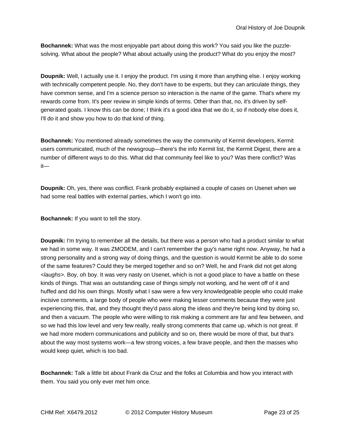**Bochannek:** What was the most enjoyable part about doing this work? You said you like the puzzlesolving. What about the people? What about actually using the product? What do you enjoy the most?

**Doupnik:** Well, I actually use it. I enjoy the product. I'm using it more than anything else. I enjoy working with technically competent people. No, they don't have to be experts, but they can articulate things, they have common sense, and I'm a science person so interaction is the name of the game. That's where my rewards come from. It's peer review in simple kinds of terms. Other than that, no, it's driven by selfgenerated goals. I know this can be done; I think it's a good idea that we do it, so if nobody else does it, I'll do it and show you how to do that kind of thing.

**Bochannek:** You mentioned already sometimes the way the community of Kermit developers, Kermit users communicated, much of the newsgroup—there's the info Kermit list, the Kermit Digest, there are a number of different ways to do this. What did that community feel like to you? Was there conflict? Was it—

**Doupnik:** Oh, yes, there was conflict. Frank probably explained a couple of cases on Usenet when we had some real battles with external parties, which I won't go into.

**Bochannek:** If you want to tell the story.

**Doupnik:** I'm trying to remember all the details, but there was a person who had a product similar to what we had in some way. It was ZMODEM, and I can't remember the guy's name right now. Anyway, he had a strong personality and a strong way of doing things, and the question is would Kermit be able to do some of the same features? Could they be merged together and so on? Well, he and Frank did not get along *<laughs>.* Boy, oh boy. It was very nasty on Usenet, which is not a good place to have a battle on these kinds of things. That was an outstanding case of things simply not working, and he went off of it and huffed and did his own things. Mostly what I saw were a few very knowledgeable people who could make incisive comments, a large body of people who were making lesser comments because they were just experiencing this, that, and they thought they'd pass along the ideas and they're being kind by doing so, and then a vacuum. The people who were willing to risk making a comment are far and few between, and so we had this low level and very few really, really strong comments that came up, which is not great. If we had more modern communications and publicity and so on, there would be more of that, but that's about the way most systems work—a few strong voices, a few brave people, and then the masses who would keep quiet, which is too bad.

**Bochannek:** Talk a little bit about Frank da Cruz and the folks at Columbia and how you interact with them. You said you only ever met him once.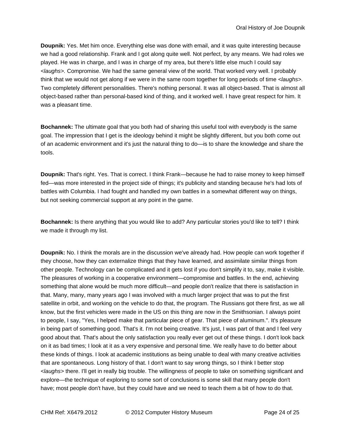**Doupnik:** Yes. Met him once. Everything else was done with email, and it was quite interesting because we had a good relationship. Frank and I got along quite well. Not perfect, by any means. We had roles we played. He was in charge, and I was in charge of my area, but there's little else much I could say *<laughs>.* Compromise. We had the same general view of the world. That worked very well. I probably think that we would not get along if we were in the same room together for long periods of time *<laughs>.* Two completely different personalities. There's nothing personal. It was all object-based. That is almost all object-based rather than personal-based kind of thing, and it worked well. I have great respect for him. It was a pleasant time.

**Bochannek:** The ultimate goal that you both had of sharing this useful tool with everybody is the same goal. The impression that I get is the ideology behind it might be slightly different, but you both come out of an academic environment and it's just the natural thing to do—is to share the knowledge and share the tools.

**Doupnik:** That's right. Yes. That is correct. I think Frank—because he had to raise money to keep himself fed—was more interested in the project side of things; it's publicity and standing because he's had lots of battles with Columbia. I had fought and handled my own battles in a somewhat different way on things, but not seeking commercial support at any point in the game.

**Bochannek:** Is there anything that you would like to add? Any particular stories you'd like to tell? I think we made it through my list.

**Doupnik:** No. I think the morals are in the discussion we've already had. How people can work together if they choose, how they can externalize things that they have learned, and assimilate similar things from other people. Technology can be complicated and it gets lost if you don't simplify it to, say, make it visible. The pleasures of working in a cooperative environment—compromise and battles. In the end, achieving something that alone would be much more difficult—and people don't realize that there is satisfaction in that. Many, many, many years ago I was involved with a much larger project that was to put the first satellite in orbit, and working on the vehicle to do that, the program. The Russians got there first, as we all know, but the first vehicles were made in the US on this thing are now in the Smithsonian. I always point to people, I say, "Yes, I helped make that particular piece of gear. That piece of aluminum.". It's pleasure in being part of something good. That's it. I'm not being creative. It's just, I was part of that and I feel very good about that. That's about the only satisfaction you really ever get out of these things. I don't look back on it as bad times; I look at it as a very expensive and personal time. We really have to do better about these kinds of things. I look at academic institutions as being unable to deal with many creative activities that are spontaneous. Long history of that. I don't want to say wrong things, so I think I better stop *<laughs>* there. I'll get in really big trouble. The willingness of people to take on something significant and explore—the technique of exploring to some sort of conclusions is some skill that many people don't have; most people don't have, but they could have and we need to teach them a bit of how to do that.